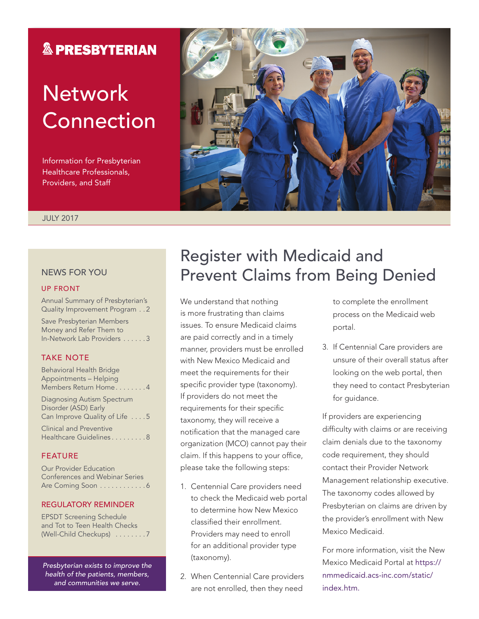### **& PRESBYTERIAN**

# **Network** Connection

Information for Presbyterian Healthcare Professionals, Providers, and Staff



#### JULY 2017

### NEWS FOR YOU

#### UP FRONT

Annual Summary of Presbyterian's Quality Improvement Program . 2

Save Presbyterian Members Money and Refer Them to In-Network Lab Providers . . . . . . 3

### TAKE NOTE

| <b>Behavioral Health Bridge</b>   |
|-----------------------------------|
| <b>Appointments - Helping</b>     |
| Members Return Home4              |
| <b>Diagnosing Autism Spectrum</b> |
| Disorder (ASD) Early              |
| Can Improve Quality of Life 5     |
| <b>Clinical and Preventive</b>    |
| Healthcare Guidelines8            |

### FEATURE

Our Provider Education Conferences and Webinar Series Are Coming Soon . . . . . . . . . . . . 6

### REGULATORY REMINDER

EPSDT Screening Schedule and Tot to Teen Health Checks (Well-Child Checkups) . . . . . . . 7

*Presbyterian exists to improve the health of the patients, members, and communities we serve.*

## Register with Medicaid and Prevent Claims from Being Denied

We understand that nothing is more frustrating than claims issues. To ensure Medicaid claims are paid correctly and in a timely manner, providers must be enrolled with New Mexico Medicaid and meet the requirements for their specific provider type (taxonomy). If providers do not meet the requirements for their specific taxonomy, they will receive a notification that the managed care organization (MCO) cannot pay their claim. If this happens to your office, please take the following steps:

- 1. Centennial Care providers need to check the Medicaid web portal to determine how New Mexico classified their enrollment. Providers may need to enroll for an additional provider type (taxonomy).
- 2. When Centennial Care providers are not enrolled, then they need

to complete the enrollment process on the Medicaid web portal.

3. If Centennial Care providers are unsure of their overall status after looking on the web portal, then they need to contact Presbyterian for guidance.

If providers are experiencing difficulty with claims or are receiving claim denials due to the taxonomy code requirement, they should contact their Provider Network Management relationship executive. The taxonomy codes allowed by Presbyterian on claims are driven by the provider's enrollment with New Mexico Medicaid.

For more information, visit the New Mexico Medicaid Portal at [https://](https://nmmedicaid.acs-inc.com/static/index.htm) [nmmedicaid.acs-inc.com/static/](https://nmmedicaid.acs-inc.com/static/index.htm) [index.htm](https://nmmedicaid.acs-inc.com/static/index.htm).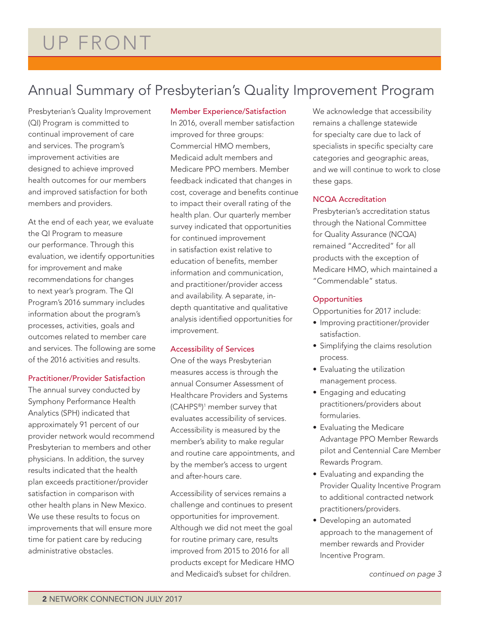### Annual Summary of Presbyterian's Quality Improvement Program

Presbyterian's Quality Improvement (QI) Program is committed to continual improvement of care and services. The program's improvement activities are designed to achieve improved health outcomes for our members and improved satisfaction for both members and providers.

At the end of each year, we evaluate the QI Program to measure our performance. Through this evaluation, we identify opportunities for improvement and make recommendations for changes to next year's program. The QI Program's 2016 summary includes information about the program's processes, activities, goals and outcomes related to member care and services. The following are some of the 2016 activities and results.

### Practitioner/Provider Satisfaction

The annual survey conducted by Symphony Performance Health Analytics (SPH) indicated that approximately 91 percent of our provider network would recommend Presbyterian to members and other physicians. In addition, the survey results indicated that the health plan exceeds practitioner/provider satisfaction in comparison with other health plans in New Mexico. We use these results to focus on improvements that will ensure more time for patient care by reducing administrative obstacles.

### Member Experience/Satisfaction

In 2016, overall member satisfaction improved for three groups: Commercial HMO members, Medicaid adult members and Medicare PPO members. Member feedback indicated that changes in cost, coverage and benefits continue to impact their overall rating of the health plan. Our quarterly member survey indicated that opportunities for continued improvement in satisfaction exist relative to education of benefits, member information and communication, and practitioner/provider access and availability. A separate, indepth quantitative and qualitative analysis identified opportunities for improvement.

### Accessibility of Services

One of the ways Presbyterian measures access is through the annual Consumer Assessment of Healthcare Providers and Systems (CAHPS®) 1 member survey that evaluates accessibility of services. Accessibility is measured by the member's ability to make regular and routine care appointments, and by the member's access to urgent and after-hours care.

Accessibility of services remains a challenge and continues to present opportunities for improvement. Although we did not meet the goal for routine primary care, results improved from 2015 to 2016 for all products except for Medicare HMO and Medicaid's subset for children.

We acknowledge that accessibility remains a challenge statewide for specialty care due to lack of specialists in specific specialty care categories and geographic areas, and we will continue to work to close these gaps.

### NCQA Accreditation

Presbyterian's accreditation status through the National Committee for Quality Assurance (NCQA) remained "Accredited" for all products with the exception of Medicare HMO, which maintained a "Commendable" status.

### **Opportunities**

Opportunities for 2017 include:

- Improving practitioner/provider satisfaction.
- Simplifying the claims resolution process.
- Evaluating the utilization management process.
- Engaging and educating practitioners/providers about formularies.
- Evaluating the Medicare Advantage PPO Member Rewards pilot and Centennial Care Member Rewards Program.
- Evaluating and expanding the Provider Quality Incentive Program to additional contracted network practitioners/providers.
- Developing an automated approach to the management of member rewards and Provider Incentive Program.

*continued on page 3*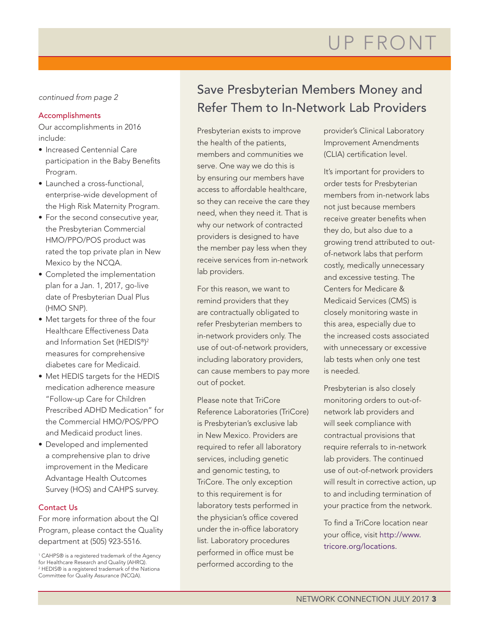## UP FRONT

### *continued from page 2*

### Accomplishments

Our accomplishments in 2016 include:

- Increased Centennial Care participation in the Baby Benefits Program.
- Launched a cross-functional, enterprise-wide development of the High Risk Maternity Program.
- For the second consecutive year, the Presbyterian Commercial HMO/PPO/POS product was rated the top private plan in New Mexico by the NCQA.
- Completed the implementation plan for a Jan. 1, 2017, go-live date of Presbyterian Dual Plus (HMO SNP).
- Met targets for three of the four Healthcare Effectiveness Data and Information Set (HEDIS®) 2 measures for comprehensive diabetes care for Medicaid.
- Met HEDIS targets for the HEDIS medication adherence measure "Follow-up Care for Children Prescribed ADHD Medication" for the Commercial HMO/POS/PPO and Medicaid product lines.
- Developed and implemented a comprehensive plan to drive improvement in the Medicare Advantage Health Outcomes Survey (HOS) and CAHPS survey.

### Contact Us

For more information about the QI Program, please contact the Quality department at (505) 923-5516.

### Save Presbyterian Members Money and Refer Them to In-Network Lab Providers

Presbyterian exists to improve the health of the patients, members and communities we serve. One way we do this is by ensuring our members have access to affordable healthcare, so they can receive the care they need, when they need it. That is why our network of contracted providers is designed to have the member pay less when they receive services from in-network lab providers.

For this reason, we want to remind providers that they are contractually obligated to refer Presbyterian members to in-network providers only. The use of out-of-network providers, including laboratory providers, can cause members to pay more out of pocket.

Please note that TriCore Reference Laboratories (TriCore) is Presbyterian's exclusive lab in New Mexico. Providers are required to refer all laboratory services, including genetic and genomic testing, to TriCore. The only exception to this requirement is for laboratory tests performed in the physician's office covered under the in-office laboratory list. Laboratory procedures performed in office must be performed according to the

provider's Clinical Laboratory Improvement Amendments (CLIA) certification level.

It's important for providers to order tests for Presbyterian members from in-network labs not just because members receive greater benefits when they do, but also due to a growing trend attributed to outof-network labs that perform costly, medically unnecessary and excessive testing. The Centers for Medicare & Medicaid Services (CMS) is closely monitoring waste in this area, especially due to the increased costs associated with unnecessary or excessive lab tests when only one test is needed.

Presbyterian is also closely monitoring orders to out-ofnetwork lab providers and will seek compliance with contractual provisions that require referrals to in-network lab providers. The continued use of out-of-network providers will result in corrective action, up to and including termination of your practice from the network.

To find a TriCore location near your office, visit [http://www.](http://www.tricore.org/locations.) [tricore.org/locations.](http://www.tricore.org/locations.)

<sup>1</sup> CAHPS® is a registered trademark of the Agency for Healthcare Research and Quality (AHRQ). 2 HEDIS® is a registered trademark of the Nationa Committee for Quality Assurance (NCQA).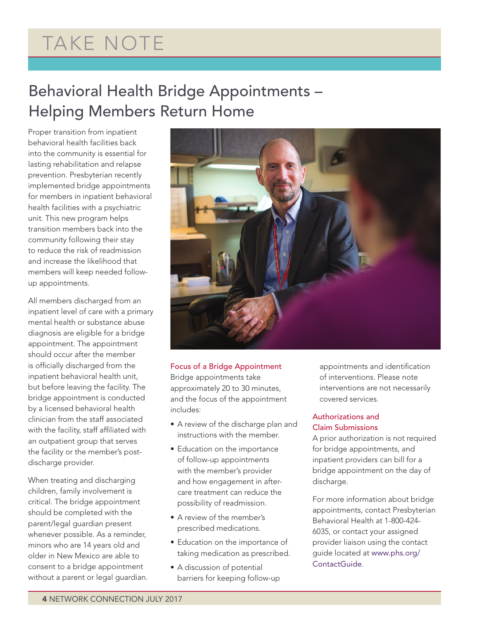## TAKE NOTE

## Behavioral Health Bridge Appointments – Helping Members Return Home

Proper transition from inpatient behavioral health facilities back into the community is essential for lasting rehabilitation and relapse prevention. Presbyterian recently implemented bridge appointments for members in inpatient behavioral health facilities with a psychiatric unit. This new program helps transition members back into the community following their stay to reduce the risk of readmission and increase the likelihood that members will keep needed followup appointments.

All members discharged from an inpatient level of care with a primary mental health or substance abuse diagnosis are eligible for a bridge appointment. The appointment should occur after the member is officially discharged from the inpatient behavioral health unit, but before leaving the facility. The bridge appointment is conducted by a licensed behavioral health clinician from the staff associated with the facility, staff affiliated with an outpatient group that serves the facility or the member's postdischarge provider.

When treating and discharging children, family involvement is critical. The bridge appointment should be completed with the parent/legal guardian present whenever possible. As a reminder, minors who are 14 years old and older in New Mexico are able to consent to a bridge appointment without a parent or legal guardian.



#### Focus of a Bridge Appointment

Bridge appointments take approximately 20 to 30 minutes, and the focus of the appointment includes:

- A review of the discharge plan and instructions with the member.
- Education on the importance of follow-up appointments with the member's provider and how engagement in aftercare treatment can reduce the possibility of readmission.
- A review of the member's prescribed medications.
- Education on the importance of taking medication as prescribed.
- A discussion of potential barriers for keeping follow-up

appointments and identification of interventions. Please note interventions are not necessarily covered services.

### Authorizations and Claim Submissions

A prior authorization is not required for bridge appointments, and inpatient providers can bill for a bridge appointment on the day of discharge.

For more information about bridge appointments, contact Presbyterian Behavioral Health at 1-800-424- 6035, or contact your assigned provider liaison using the contact guide located at [www.phs.org/](http://www.phs.org/ContactGuide) [ContactGuide](http://www.phs.org/ContactGuide).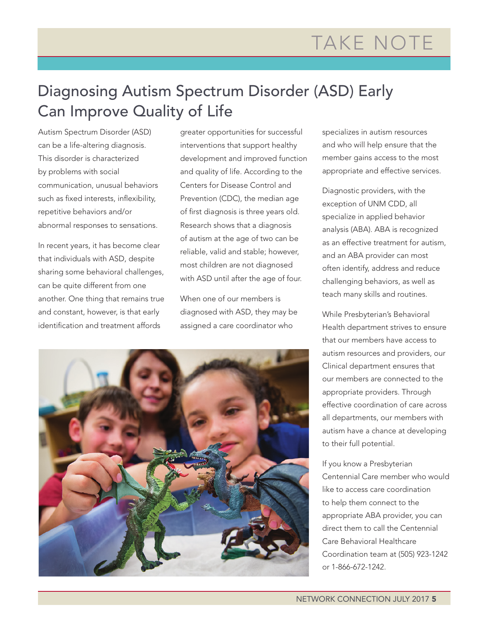## Diagnosing Autism Spectrum Disorder (ASD) Early Can Improve Quality of Life

Autism Spectrum Disorder (ASD) can be a life-altering diagnosis. This disorder is characterized by problems with social communication, unusual behaviors such as fixed interests, inflexibility, repetitive behaviors and/or abnormal responses to sensations.

In recent years, it has become clear that individuals with ASD, despite sharing some behavioral challenges, can be quite different from one another. One thing that remains true and constant, however, is that early identification and treatment affords

greater opportunities for successful interventions that support healthy development and improved function and quality of life. According to the Centers for Disease Control and Prevention (CDC), the median age of first diagnosis is three years old. Research shows that a diagnosis of autism at the age of two can be reliable, valid and stable; however, most children are not diagnosed with ASD until after the age of four.

When one of our members is diagnosed with ASD, they may be assigned a care coordinator who



specializes in autism resources and who will help ensure that the member gains access to the most appropriate and effective services.

Diagnostic providers, with the exception of UNM CDD, all specialize in applied behavior analysis (ABA). ABA is recognized as an effective treatment for autism, and an ABA provider can most often identify, address and reduce challenging behaviors, as well as teach many skills and routines.

While Presbyterian's Behavioral Health department strives to ensure that our members have access to autism resources and providers, our Clinical department ensures that our members are connected to the appropriate providers. Through effective coordination of care across all departments, our members with autism have a chance at developing to their full potential.

If you know a Presbyterian Centennial Care member who would like to access care coordination to help them connect to the appropriate ABA provider, you can direct them to call the Centennial Care Behavioral Healthcare Coordination team at (505) 923-1242 or 1-866-672-1242.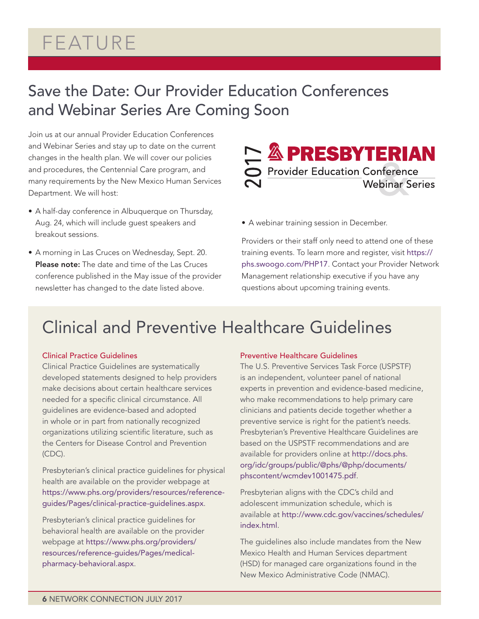## FEATURE

## Save the Date: Our Provider Education Conferences and Webinar Series Are Coming Soon

Join us at our annual Provider Education Conferences and Webinar Series and stay up to date on the current changes in the health plan. We will cover our policies and procedures, the Centennial Care program, and many requirements by the New Mexico Human Services Department. We will host:

- A half-day conference in Albuquerque on Thursday, Aug. 24, which will include guest speakers and breakout sessions.
- A morning in Las Cruces on Wednesday, Sept. 20. Please note: The date and time of the Las Cruces conference published in the May issue of the provider newsletter has changed to the date listed above.



• A webinar training session in December.

Providers or their staff only need to attend one of these training events. To learn more and register, visit [https://](https://phs.swoogo.com/PHP17) [phs.swoogo.com/PHP17](https://phs.swoogo.com/PHP17). Contact your Provider Network Management relationship executive if you have any questions about upcoming training events.

### Clinical and Preventive Healthcare Guidelines

#### Clinical Practice Guidelines

Clinical Practice Guidelines are systematically developed statements designed to help providers make decisions about certain healthcare services needed for a specific clinical circumstance. All guidelines are evidence-based and adopted in whole or in part from nationally recognized organizations utilizing scientific literature, such as the Centers for Disease Control and Prevention (CDC).

Presbyterian's clinical practice guidelines for physical health are available on the provider webpage at [https://www.phs.org/providers/resources/reference](https://www.phs.org/providers/resources/reference-guides/Pages/clinical-practice-guidelines.aspx)[guides/Pages/clinical-practice-guidelines.aspx](https://www.phs.org/providers/resources/reference-guides/Pages/clinical-practice-guidelines.aspx).

Presbyterian's clinical practice guidelines for behavioral health are available on the provider webpage at [https://www.phs.org/providers/](https://www.phs.org/providers/resources/reference-guides/Pages/medical-pharmacy-behavioral.aspx) [resources/reference-guides/Pages/medical](https://www.phs.org/providers/resources/reference-guides/Pages/medical-pharmacy-behavioral.aspx)[pharmacy-behavioral.aspx](https://www.phs.org/providers/resources/reference-guides/Pages/medical-pharmacy-behavioral.aspx).

#### Preventive Healthcare Guidelines

The U.S. Preventive Services Task Force (USPSTF) is an independent, volunteer panel of national experts in prevention and evidence-based medicine, who make recommendations to help primary care clinicians and patients decide together whether a preventive service is right for the patient's needs. Presbyterian's Preventive Healthcare Guidelines are based on the USPSTF recommendations and are available for providers online at [http://docs.phs.](mailto:http://docs.phs.org/idc/groups/public/@phs/@php/documents/phscontent/wcmdev1001475.pdf) [org/idc/groups/public/@phs/@php/documents/](mailto:http://docs.phs.org/idc/groups/public/@phs/@php/documents/phscontent/wcmdev1001475.pdf) [phscontent/wcmdev1001475.pdf](mailto:http://docs.phs.org/idc/groups/public/@phs/@php/documents/phscontent/wcmdev1001475.pdf).

Presbyterian aligns with the CDC's child and adolescent immunization schedule, which is available at [http://www.cdc.gov/vaccines/schedules/](http://www.cdc.gov/vaccines/schedules/index.html) [index.html](http://www.cdc.gov/vaccines/schedules/index.html).

The guidelines also include mandates from the New Mexico Health and Human Services department (HSD) for managed care organizations found in the New Mexico Administrative Code (NMAC).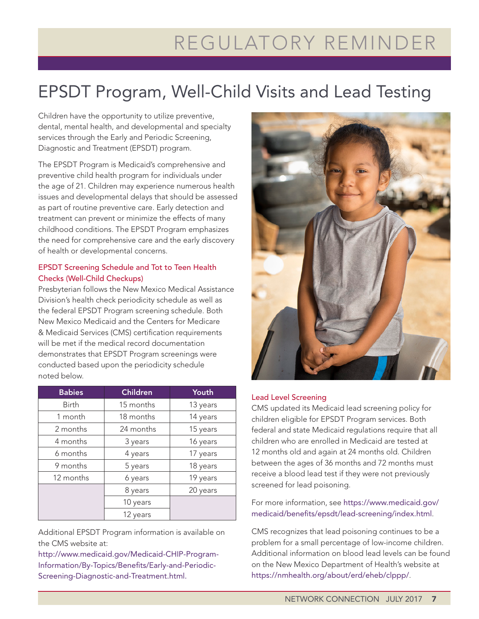# REGULATORY REMINDER

## EPSDT Program, Well-Child Visits and Lead Testing

Children have the opportunity to utilize preventive, dental, mental health, and developmental and specialty services through the Early and Periodic Screening, Diagnostic and Treatment (EPSDT) program.

The EPSDT Program is Medicaid's comprehensive and preventive child health program for individuals under the age of 21. Children may experience numerous health issues and developmental delays that should be assessed as part of routine preventive care. Early detection and treatment can prevent or minimize the effects of many childhood conditions. The EPSDT Program emphasizes the need for comprehensive care and the early discovery of health or developmental concerns.

### EPSDT Screening Schedule and Tot to Teen Health Checks (Well-Child Checkups)

Presbyterian follows the New Mexico Medical Assistance Division's health check periodicity schedule as well as the federal EPSDT Program screening schedule. Both New Mexico Medicaid and the Centers for Medicare & Medicaid Services (CMS) certification requirements will be met if the medical record documentation demonstrates that EPSDT Program screenings were conducted based upon the periodicity schedule noted below.

| <b>Babies</b> | <b>Children</b> | Youth    |
|---------------|-----------------|----------|
| <b>Birth</b>  | 15 months       | 13 years |
| 1 month       | 18 months       | 14 years |
| 2 months      | 24 months       | 15 years |
| 4 months      | 3 years         | 16 years |
| 6 months      | 4 years         | 17 years |
| 9 months      | 5 years         | 18 years |
| 12 months     | 6 years         | 19 years |
|               | 8 years         | 20 years |
|               | 10 years        |          |
|               | 12 years        |          |

Additional EPSDT Program information is available on the CMS website at:

[http://www.medicaid.gov/Medicaid-CHIP-Program-](http://www.medicaid.gov/Medicaid-CHIP-Program-Information/By-Topics/Benefits/Early-and-Periodic-Screening-Diagnostic-and-Treatment.html. )[Information/By-Topics/Benefits/Early-and-Periodic-](http://www.medicaid.gov/Medicaid-CHIP-Program-Information/By-Topics/Benefits/Early-and-Periodic-Screening-Diagnostic-and-Treatment.html. )[Screening-Diagnostic-and-Treatment.html.](http://www.medicaid.gov/Medicaid-CHIP-Program-Information/By-Topics/Benefits/Early-and-Periodic-Screening-Diagnostic-and-Treatment.html. ) 



### Lead Level Screening

CMS updated its Medicaid lead screening policy for children eligible for EPSDT Program services. Both federal and state Medicaid regulations require that all children who are enrolled in Medicaid are tested at 12 months old and again at 24 months old. Children between the ages of 36 months and 72 months must receive a blood lead test if they were not previously screened for lead poisoning.

For more information, see [https://www.medicaid.gov/](https://www.medicaid.gov/medicaid/benefits/epsdt/lead-screening/index.html) [medicaid/benefits/epsdt/lead-screening/index.html](https://www.medicaid.gov/medicaid/benefits/epsdt/lead-screening/index.html).

CMS recognizes that lead poisoning continues to be a problem for a small percentage of low-income children. Additional information on blood lead levels can be found on the New Mexico Department of Health's website at <https://nmhealth.org/about/erd/eheb/clppp/>.